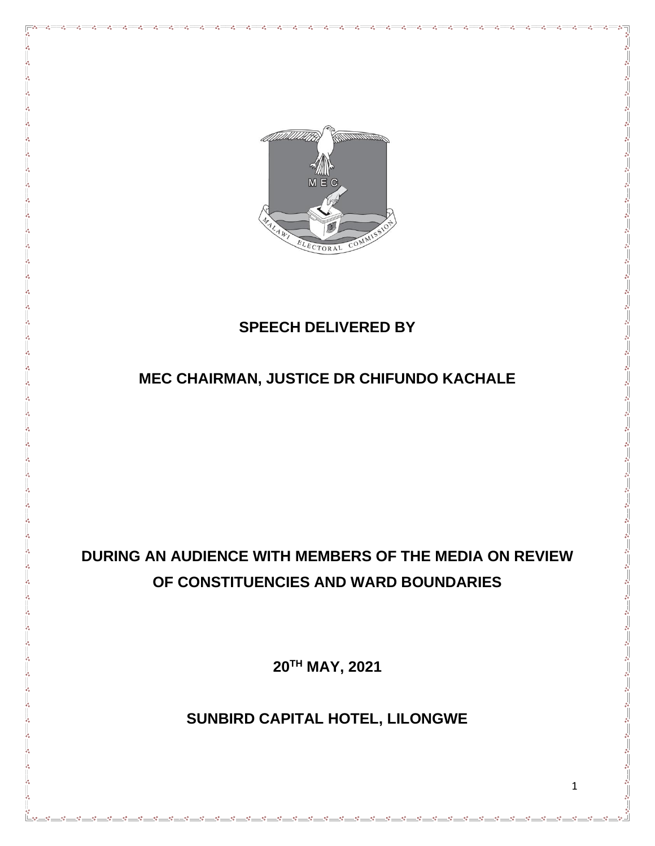

#### **SPEECH DELIVERED BY**

# **MEC CHAIRMAN, JUSTICE DR CHIFUNDO KACHALE**

# **DURING AN AUDIENCE WITH MEMBERS OF THE MEDIA ON REVIEW OF CONSTITUENCIES AND WARD BOUNDARIES**

**20TH MAY, 2021**

**SUNBIRD CAPITAL HOTEL, LILONGWE**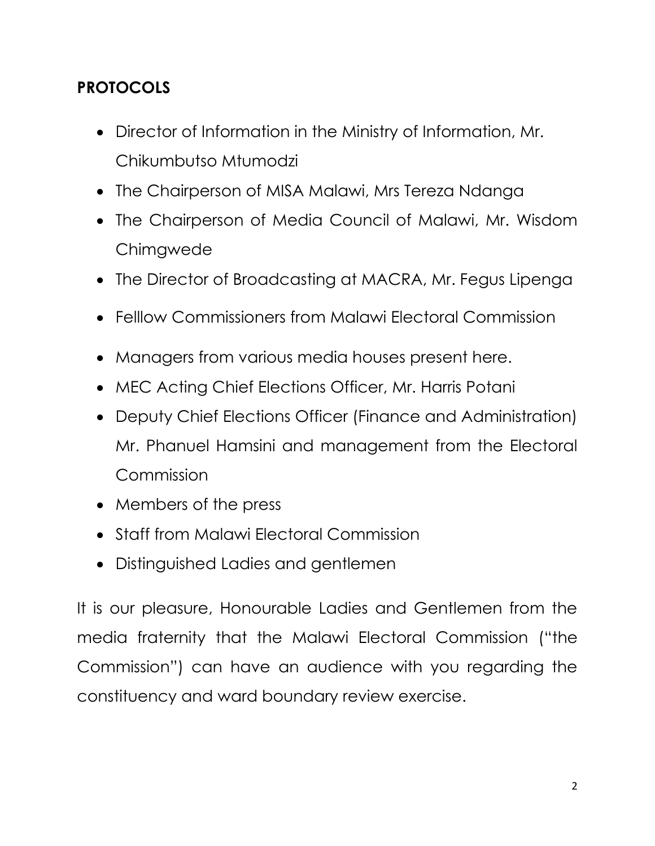# **PROTOCOLS**

- Director of Information in the Ministry of Information, Mr. Chikumbutso Mtumodzi
- The Chairperson of MISA Malawi, Mrs Tereza Ndanga
- The Chairperson of Media Council of Malawi, Mr. Wisdom Chimgwede
- The Director of Broadcasting at MACRA, Mr. Fegus Lipenga
- Felllow Commissioners from Malawi Electoral Commission
- Managers from various media houses present here.
- MEC Acting Chief Elections Officer, Mr. Harris Potani
- Deputy Chief Elections Officer (Finance and Administration) Mr. Phanuel Hamsini and management from the Electoral Commission
- Members of the press
- Staff from Malawi Electoral Commission
- Distinguished Ladies and gentlemen

It is our pleasure, Honourable Ladies and Gentlemen from the media fraternity that the Malawi Electoral Commission ("the Commission") can have an audience with you regarding the constituency and ward boundary review exercise.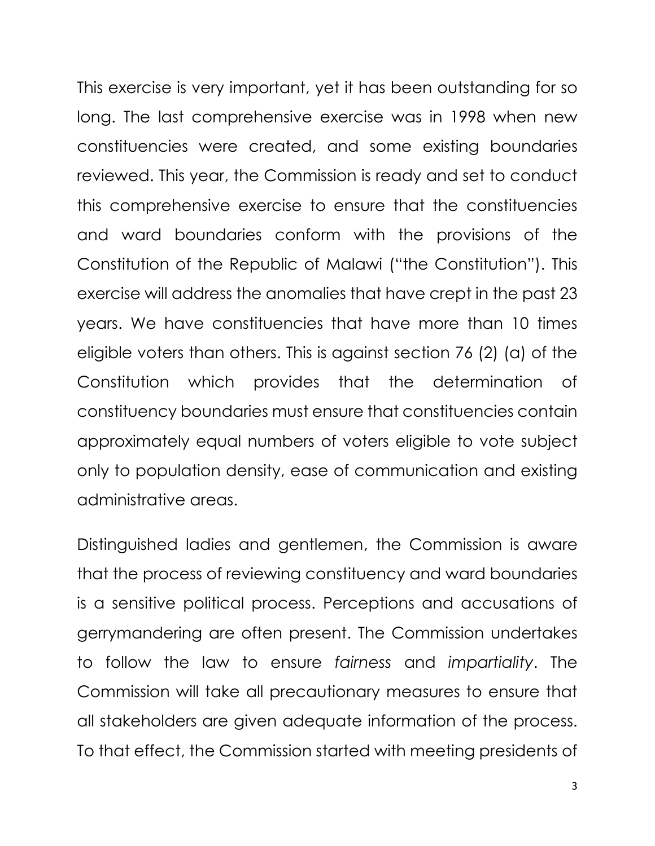This exercise is very important, yet it has been outstanding for so long. The last comprehensive exercise was in 1998 when new constituencies were created, and some existing boundaries reviewed. This year, the Commission is ready and set to conduct this comprehensive exercise to ensure that the constituencies and ward boundaries conform with the provisions of the Constitution of the Republic of Malawi ("the Constitution"). This exercise will address the anomalies that have crept in the past 23 years. We have constituencies that have more than 10 times eligible voters than others. This is against section 76 (2) (a) of the Constitution which provides that the determination of constituency boundaries must ensure that constituencies contain approximately equal numbers of voters eligible to vote subject only to population density, ease of communication and existing administrative areas.

Distinguished ladies and gentlemen, the Commission is aware that the process of reviewing constituency and ward boundaries is a sensitive political process. Perceptions and accusations of gerrymandering are often present. The Commission undertakes to follow the law to ensure *fairness* and *impartiality*. The Commission will take all precautionary measures to ensure that all stakeholders are given adequate information of the process. To that effect, the Commission started with meeting presidents of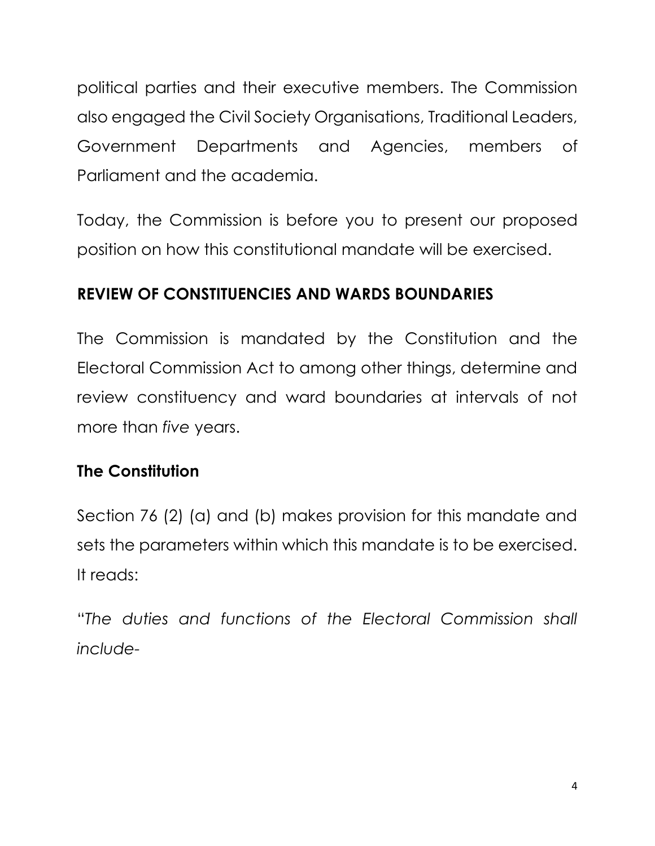political parties and their executive members. The Commission also engaged the Civil Society Organisations, Traditional Leaders, Government Departments and Agencies, members of Parliament and the academia.

Today, the Commission is before you to present our proposed position on how this constitutional mandate will be exercised.

# **REVIEW OF CONSTITUENCIES AND WARDS BOUNDARIES**

The Commission is mandated by the Constitution and the Electoral Commission Act to among other things, determine and review constituency and ward boundaries at intervals of not more than *five* years.

# **The Constitution**

Section 76 (2) (a) and (b) makes provision for this mandate and sets the parameters within which this mandate is to be exercised. It reads:

"*The duties and functions of the Electoral Commission shall include-*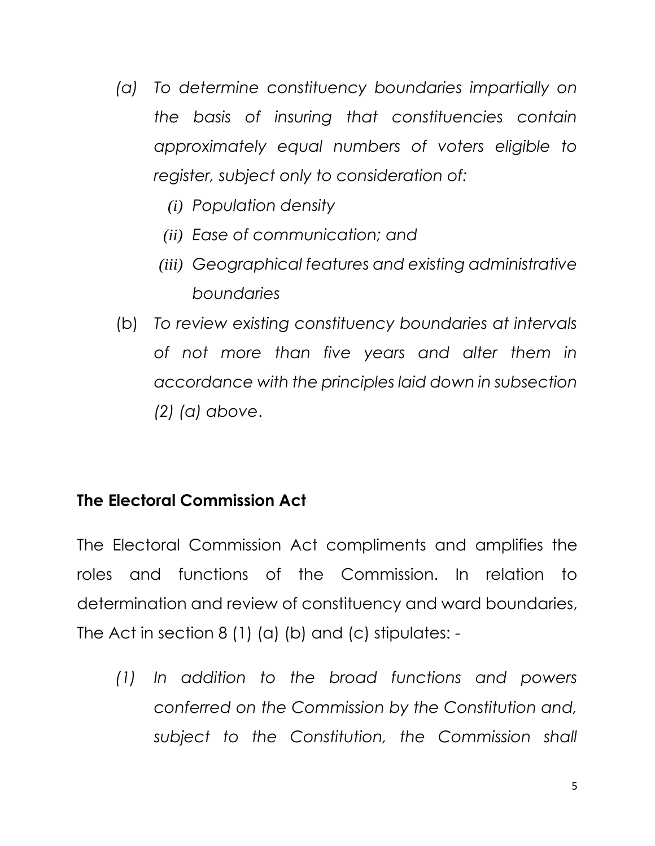- *(a) To determine constituency boundaries impartially on the basis of insuring that constituencies contain approximately equal numbers of voters eligible to register, subject only to consideration of:*
	- *(i) Population density*
	- *(ii) Ease of communication; and*
	- *(iii) Geographical features and existing administrative boundaries*
- (b) *To review existing constituency boundaries at intervals of not more than five years and alter them in accordance with the principles laid down in subsection (2) (a) above*.

# **The Electoral Commission Act**

The Electoral Commission Act compliments and amplifies the roles and functions of the Commission. In relation to determination and review of constituency and ward boundaries, The Act in section 8 (1) (a) (b) and (c) stipulates: -

*(1) In addition to the broad functions and powers conferred on the Commission by the Constitution and, subject to the Constitution, the Commission shall*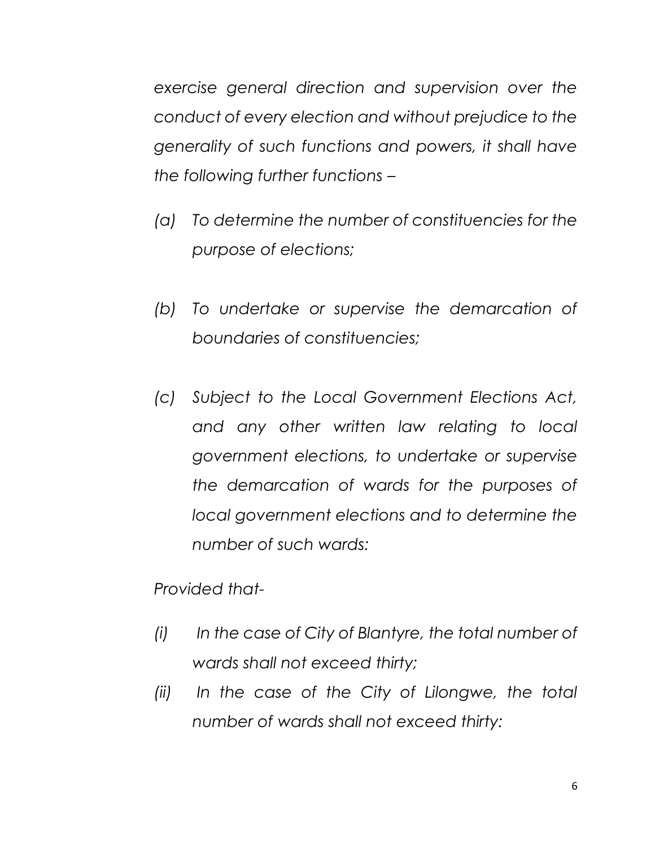*exercise general direction and supervision over the conduct of every election and without prejudice to the generality of such functions and powers, it shall have the following further functions –* 

- *(a) To determine the number of constituencies for the purpose of elections;*
- *(b) To undertake or supervise the demarcation of boundaries of constituencies;*
- *(c) Subject to the Local Government Elections Act, and any other written law relating to local government elections, to undertake or supervise the demarcation of wards for the purposes of local government elections and to determine the number of such wards:*

*Provided that-*

- *(i) In the case of City of Blantyre, the total number of wards shall not exceed thirty;*
- *(ii) In the case of the City of Lilongwe, the total number of wards shall not exceed thirty:*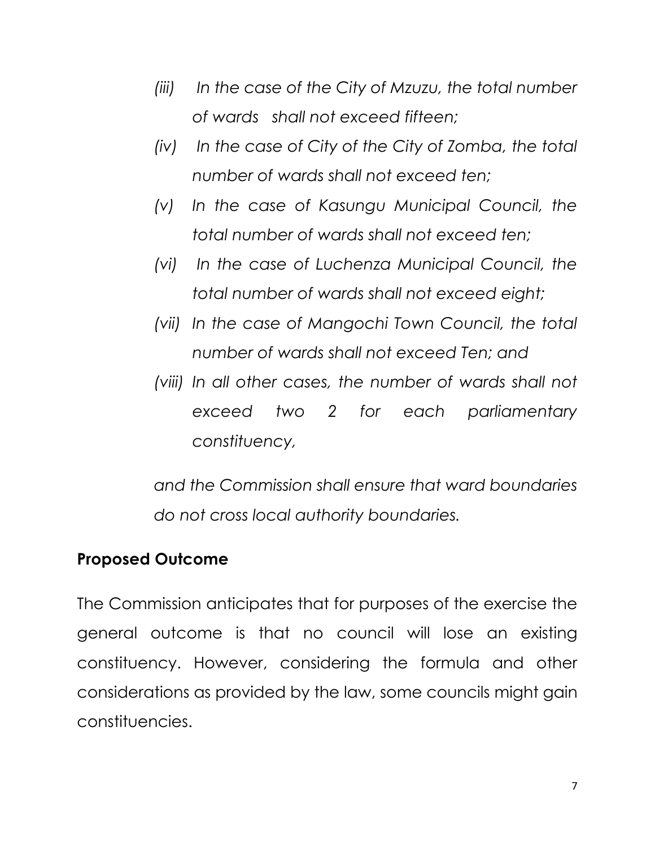- *(iii) In the case of the City of Mzuzu, the total number of wards shall not exceed fifteen;*
- *(iv) In the case of City of the City of Zomba, the total number of wards shall not exceed ten;*
- *(v) In the case of Kasungu Municipal Council, the total number of wards shall not exceed ten;*
- *(vi) In the case of Luchenza Municipal Council, the total number of wards shall not exceed eight;*
- *(vii) In the case of Mangochi Town Council, the total number of wards shall not exceed Ten; and*
- *(viii) In all other cases, the number of wards shall not exceed two 2 for each parliamentary constituency,*

*and the Commission shall ensure that ward boundaries do not cross local authority boundaries.*

#### **Proposed Outcome**

The Commission anticipates that for purposes of the exercise the general outcome is that no council will lose an existing constituency. However, considering the formula and other considerations as provided by the law, some councils might gain constituencies.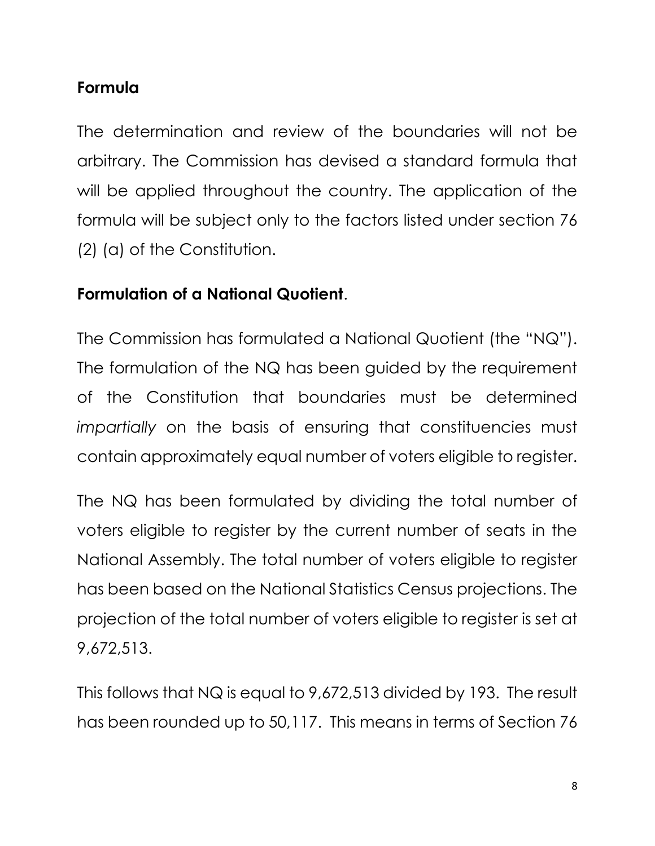# **Formula**

The determination and review of the boundaries will not be arbitrary. The Commission has devised a standard formula that will be applied throughout the country. The application of the formula will be subject only to the factors listed under section 76 (2) (a) of the Constitution.

# **Formulation of a National Quotient**.

The Commission has formulated a National Quotient (the "NQ"). The formulation of the NQ has been guided by the requirement of the Constitution that boundaries must be determined *impartially* on the basis of ensuring that constituencies must contain approximately equal number of voters eligible to register.

The NQ has been formulated by dividing the total number of voters eligible to register by the current number of seats in the National Assembly. The total number of voters eligible to register has been based on the National Statistics Census projections. The projection of the total number of voters eligible to register is set at 9,672,513.

This follows that NQ is equal to 9,672,513 divided by 193. The result has been rounded up to 50,117. This means in terms of Section 76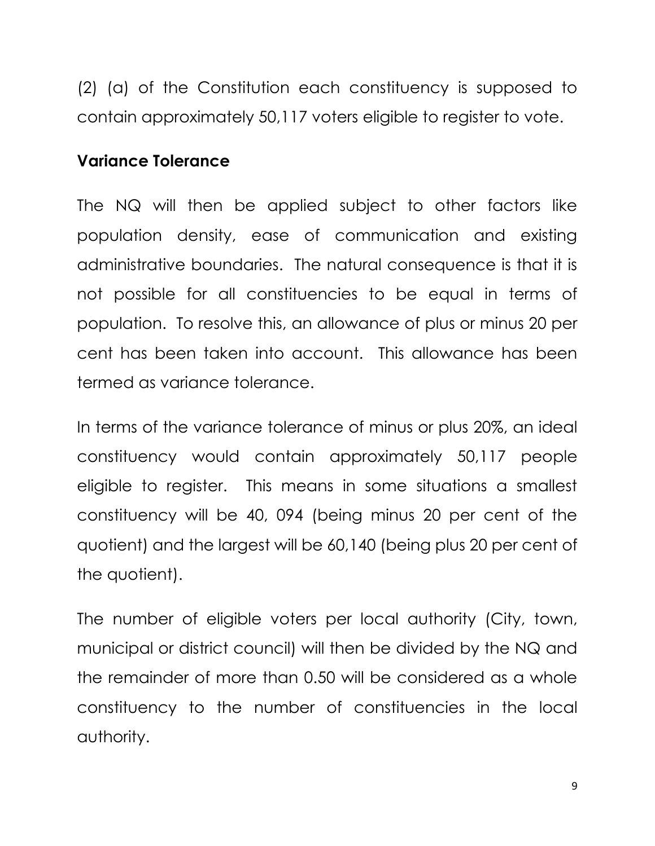(2) (a) of the Constitution each constituency is supposed to contain approximately 50,117 voters eligible to register to vote.

#### **Variance Tolerance**

The NQ will then be applied subject to other factors like population density, ease of communication and existing administrative boundaries. The natural consequence is that it is not possible for all constituencies to be equal in terms of population. To resolve this, an allowance of plus or minus 20 per cent has been taken into account. This allowance has been termed as variance tolerance.

In terms of the variance tolerance of minus or plus 20%, an ideal constituency would contain approximately 50,117 people eligible to register. This means in some situations a smallest constituency will be 40, 094 (being minus 20 per cent of the quotient) and the largest will be 60,140 (being plus 20 per cent of the quotient).

The number of eligible voters per local authority (City, town, municipal or district council) will then be divided by the NQ and the remainder of more than 0.50 will be considered as a whole constituency to the number of constituencies in the local authority.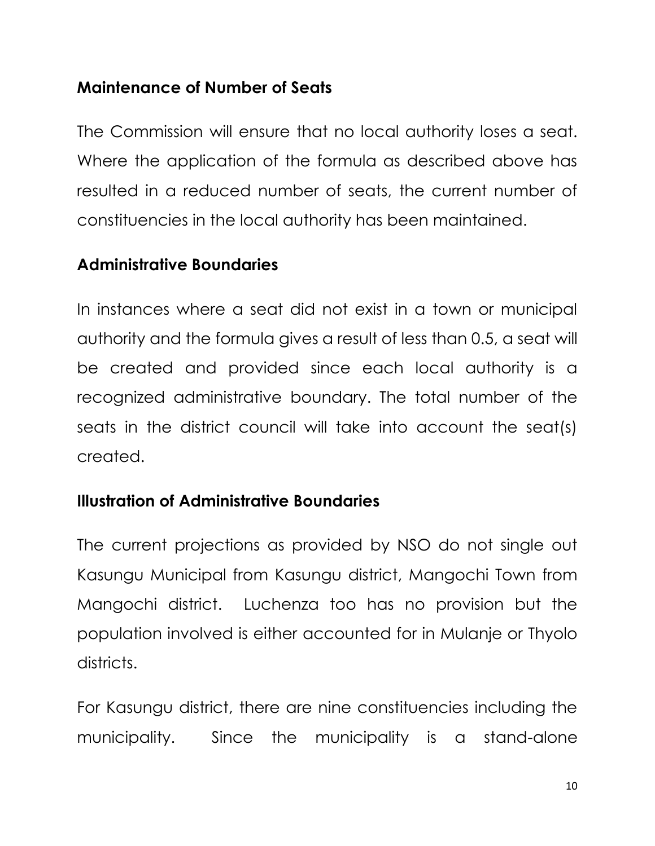#### **Maintenance of Number of Seats**

The Commission will ensure that no local authority loses a seat. Where the application of the formula as described above has resulted in a reduced number of seats, the current number of constituencies in the local authority has been maintained.

#### **Administrative Boundaries**

In instances where a seat did not exist in a town or municipal authority and the formula gives a result of less than 0.5, a seat will be created and provided since each local authority is a recognized administrative boundary. The total number of the seats in the district council will take into account the seat(s) created.

#### **Illustration of Administrative Boundaries**

The current projections as provided by NSO do not single out Kasungu Municipal from Kasungu district, Mangochi Town from Mangochi district. Luchenza too has no provision but the population involved is either accounted for in Mulanje or Thyolo districts.

For Kasungu district, there are nine constituencies including the municipality. Since the municipality is a stand-alone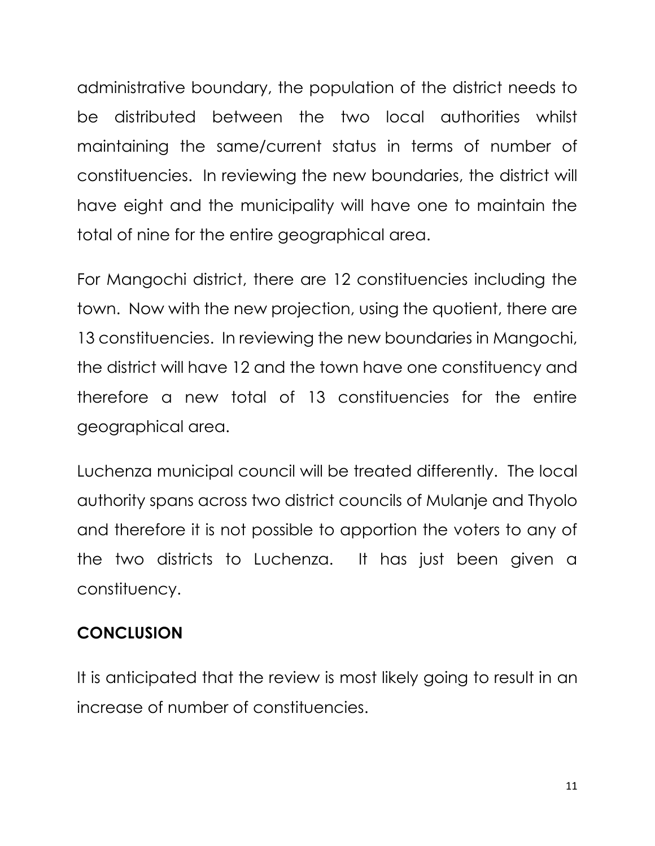administrative boundary, the population of the district needs to be distributed between the two local authorities whilst maintaining the same/current status in terms of number of constituencies. In reviewing the new boundaries, the district will have eight and the municipality will have one to maintain the total of nine for the entire geographical area.

For Mangochi district, there are 12 constituencies including the town. Now with the new projection, using the quotient, there are 13 constituencies. In reviewing the new boundaries in Mangochi, the district will have 12 and the town have one constituency and therefore a new total of 13 constituencies for the entire geographical area.

Luchenza municipal council will be treated differently. The local authority spans across two district councils of Mulanje and Thyolo and therefore it is not possible to apportion the voters to any of the two districts to Luchenza. It has just been given a constituency.

#### **CONCLUSION**

It is anticipated that the review is most likely going to result in an increase of number of constituencies.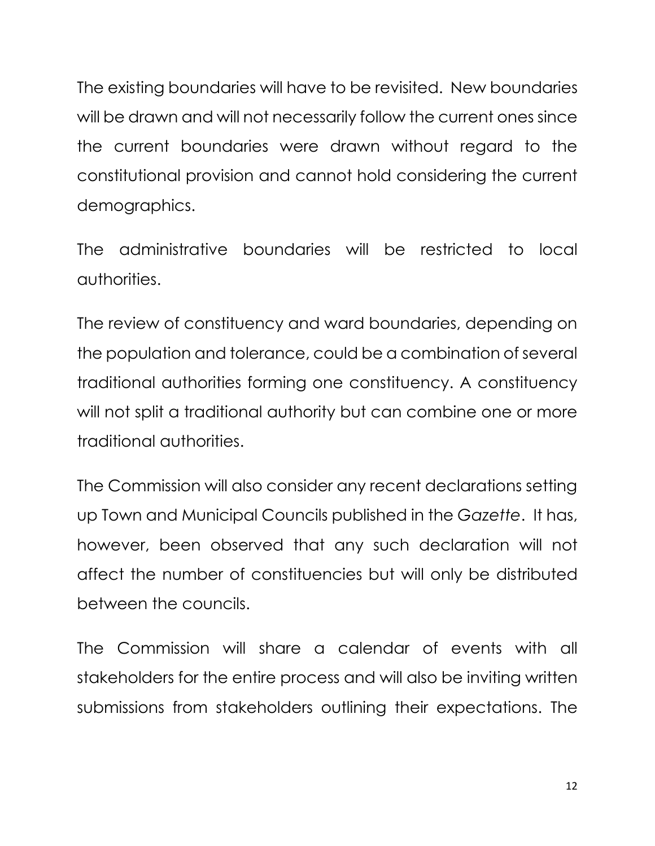The existing boundaries will have to be revisited. New boundaries will be drawn and will not necessarily follow the current ones since the current boundaries were drawn without regard to the constitutional provision and cannot hold considering the current demographics.

The administrative boundaries will be restricted to local authorities.

The review of constituency and ward boundaries, depending on the population and tolerance, could be a combination of several traditional authorities forming one constituency. A constituency will not split a traditional authority but can combine one or more traditional authorities.

The Commission will also consider any recent declarations setting up Town and Municipal Councils published in the *Gazette*. It has, however, been observed that any such declaration will not affect the number of constituencies but will only be distributed between the councils.

The Commission will share a calendar of events with all stakeholders for the entire process and will also be inviting written submissions from stakeholders outlining their expectations. The